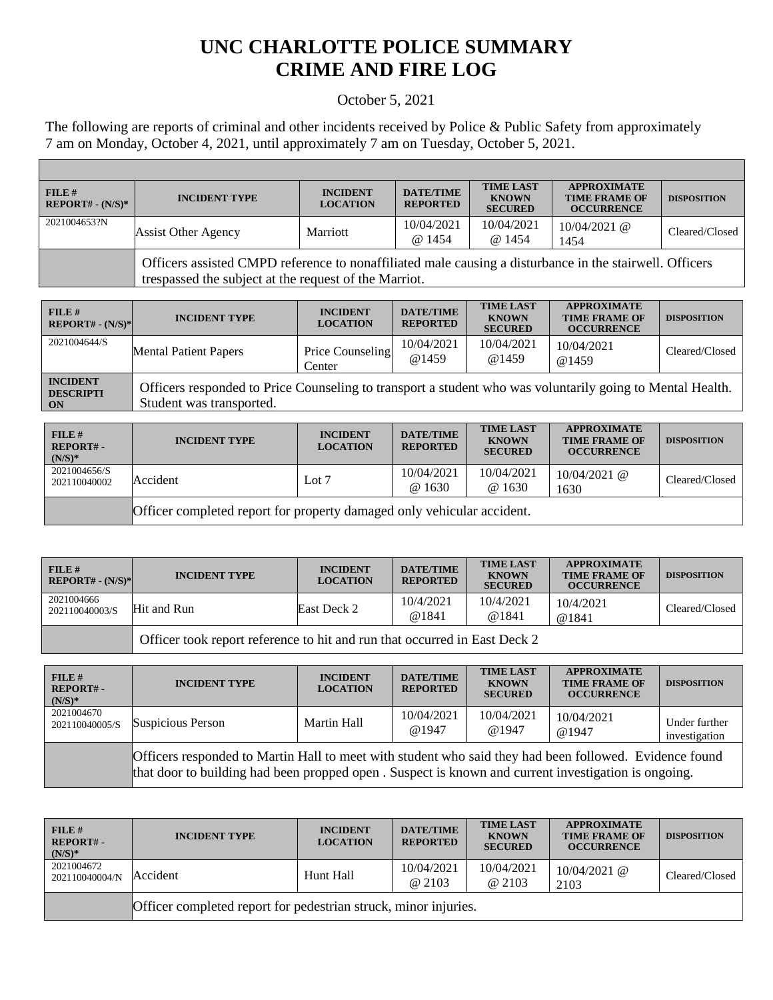## **UNC CHARLOTTE POLICE SUMMARY CRIME AND FIRE LOG**

## October 5, 2021

The following are reports of criminal and other incidents received by Police & Public Safety from approximately 7 am on Monday, October 4, 2021, until approximately 7 am on Tuesday, October 5, 2021.

Г

| FILE#<br>$REPORT# - (N/S)*$ | <b>INCIDENT TYPE</b>                                                                                                                                             | <b>INCIDENT</b><br><b>LOCATION</b> | <b>DATE/TIME</b><br><b>REPORTED</b> | <b>TIME LAST</b><br><b>KNOWN</b><br><b>SECURED</b> | <b>APPROXIMATE</b><br><b>TIME FRAME OF</b><br><b>OCCURRENCE</b> | <b>DISPOSITION</b> |
|-----------------------------|------------------------------------------------------------------------------------------------------------------------------------------------------------------|------------------------------------|-------------------------------------|----------------------------------------------------|-----------------------------------------------------------------|--------------------|
| 2021004653?N                | Assist Other Agency                                                                                                                                              | Marriott                           | 10/04/2021<br>@ 1454                | 10/04/2021<br>@ 1454                               | $10/04/2021$ @<br>1454                                          | Cleared/Closed     |
|                             | Officers assisted CMPD reference to nonaffiliated male causing a disturbance in the stairwell. Officers<br>trespassed the subject at the request of the Marriot. |                                    |                                     |                                                    |                                                                 |                    |

| FILE H<br>$REPORT# - (N/S)*$                                       | <b>INCIDENT TYPE</b>                                                                                                                  | <b>INCIDENT</b><br><b>LOCATION</b> | <b>DATE/TIME</b><br><b>REPORTED</b> | <b>TIME LAST</b><br><b>KNOWN</b><br><b>SECURED</b> | <b>APPROXIMATE</b><br><b>TIME FRAME OF</b><br><b>OCCURRENCE</b> | <b>DISPOSITION</b> |
|--------------------------------------------------------------------|---------------------------------------------------------------------------------------------------------------------------------------|------------------------------------|-------------------------------------|----------------------------------------------------|-----------------------------------------------------------------|--------------------|
| 2021004644/S                                                       | <b>Mental Patient Papers</b>                                                                                                          | Price Counseling<br>Center         | 10/04/2021<br>@1459                 | 10/04/2021<br>@1459                                | 10/04/2021<br>@1459                                             | Cleared/Closed     |
| <b>INCIDENT</b><br><b>DESCRIPTI</b><br>$\overline{\phantom{a}}$ ON | Officers responded to Price Counseling to transport a student who was voluntarily going to Mental Health.<br>Student was transported. |                                    |                                     |                                                    |                                                                 |                    |

| $FILE$ #<br><b>REPORT#-</b><br>$(N/S)*$ | <b>INCIDENT TYPE</b>                                                   | <b>INCIDENT</b><br><b>LOCATION</b> | <b>DATE/TIME</b><br><b>REPORTED</b> | <b>TIME LAST</b><br><b>KNOWN</b><br><b>SECURED</b> | <b>APPROXIMATE</b><br><b>TIME FRAME OF</b><br><b>OCCURRENCE</b> | <b>DISPOSITION</b> |
|-----------------------------------------|------------------------------------------------------------------------|------------------------------------|-------------------------------------|----------------------------------------------------|-----------------------------------------------------------------|--------------------|
| 2021004656/S<br>202110040002            | Accident                                                               | Lot $7$                            | 10/04/2021<br>@1630                 | 10/04/2021<br>@ 1630                               | $10/04/2021$ @<br>1630                                          | Cleared/Closed     |
|                                         | Officer completed report for property damaged only vehicular accident. |                                    |                                     |                                                    |                                                                 |                    |

| FILE H<br>$REPORT# - (N/S)*$ | <b>INCIDENT TYPE</b>                                                      | <b>INCIDENT</b><br><b>LOCATION</b> | <b>DATE/TIME</b><br><b>REPORTED</b> | <b>TIME LAST</b><br><b>KNOWN</b><br><b>SECURED</b> | <b>APPROXIMATE</b><br><b>TIME FRAME OF</b><br><b>OCCURRENCE</b> | <b>DISPOSITION</b> |
|------------------------------|---------------------------------------------------------------------------|------------------------------------|-------------------------------------|----------------------------------------------------|-----------------------------------------------------------------|--------------------|
| 2021004666<br>202110040003/S | Hit and Run                                                               | East Deck 2                        | 10/4/2021<br>@1841                  | 10/4/2021<br>@1841                                 | 10/4/2021<br>@1841                                              | Cleared/Closed     |
|                              | Officer took report reference to hit and run that occurred in East Deck 2 |                                    |                                     |                                                    |                                                                 |                    |

| FILE#<br>REPORT#-<br>$(N/S)*$ | <b>INCIDENT TYPE</b>                                                                                                                                                                                          | <b>INCIDENT</b><br><b>LOCATION</b> | <b>DATE/TIME</b><br><b>REPORTED</b> | <b>TIME LAST</b><br><b>KNOWN</b><br><b>SECURED</b> | <b>APPROXIMATE</b><br><b>TIME FRAME OF</b><br><b>OCCURRENCE</b> | <b>DISPOSITION</b>             |
|-------------------------------|---------------------------------------------------------------------------------------------------------------------------------------------------------------------------------------------------------------|------------------------------------|-------------------------------------|----------------------------------------------------|-----------------------------------------------------------------|--------------------------------|
| 2021004670<br>202110040005/S  | Suspicious Person                                                                                                                                                                                             | Martin Hall                        | 10/04/2021<br>@1947                 | 10/04/2021<br>@1947                                | 10/04/2021<br>@1947                                             | Under further<br>investigation |
|                               | Officers responded to Martin Hall to meet with student who said they had been followed. Evidence found<br>that door to building had been propped open. Suspect is known and current investigation is ongoing. |                                    |                                     |                                                    |                                                                 |                                |

| $FILE$ #<br>$REPORT# -$<br>$(N/S)*$ | <b>INCIDENT TYPE</b>                                            | <b>INCIDENT</b><br><b>LOCATION</b> | <b>DATE/TIME</b><br><b>REPORTED</b> | <b>TIME LAST</b><br><b>KNOWN</b><br><b>SECURED</b> | <b>APPROXIMATE</b><br><b>TIME FRAME OF</b><br><b>OCCURRENCE</b> | <b>DISPOSITION</b> |  |
|-------------------------------------|-----------------------------------------------------------------|------------------------------------|-------------------------------------|----------------------------------------------------|-----------------------------------------------------------------|--------------------|--|
| 2021004672<br>202110040004/N        | Accident                                                        | Hunt Hall                          | 10/04/2021<br>@ 2103                | 10/04/2021<br>@ 2103                               | $10/04/2021$ @<br>2103                                          | Cleared/Closed     |  |
|                                     | Officer completed report for pedestrian struck, minor injuries. |                                    |                                     |                                                    |                                                                 |                    |  |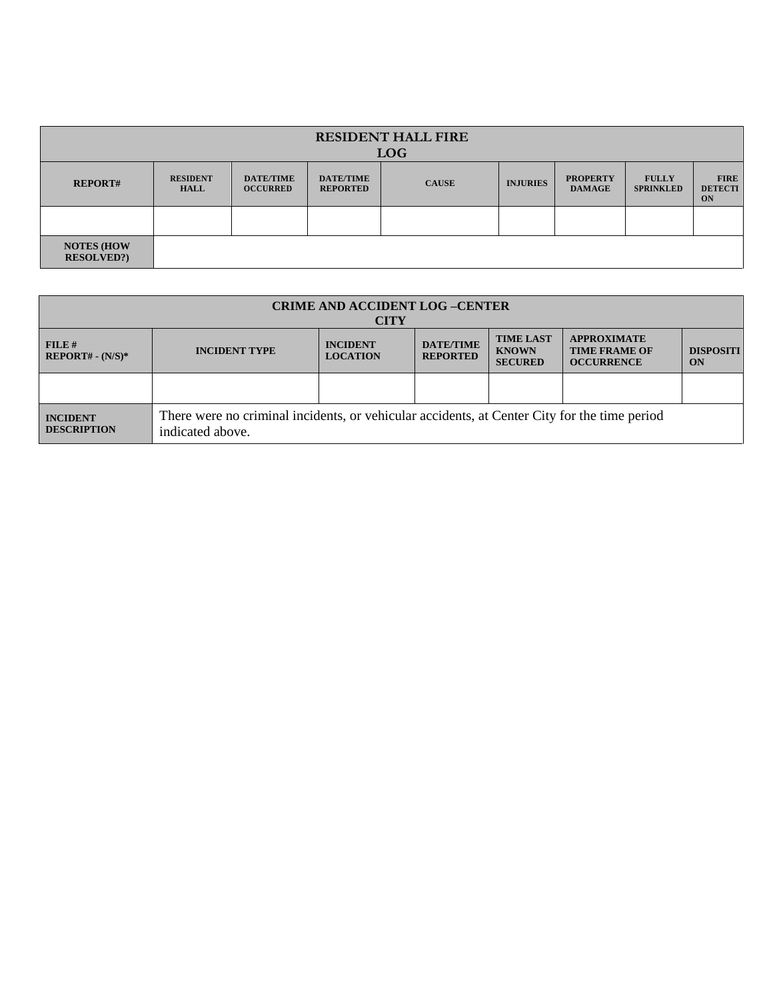| <b>RESIDENT HALL FIRE</b><br><b>LOG</b> |                                |                                     |                                     |              |                 |                                  |                                  |                                     |
|-----------------------------------------|--------------------------------|-------------------------------------|-------------------------------------|--------------|-----------------|----------------------------------|----------------------------------|-------------------------------------|
| <b>REPORT#</b>                          | <b>RESIDENT</b><br><b>HALL</b> | <b>DATE/TIME</b><br><b>OCCURRED</b> | <b>DATE/TIME</b><br><b>REPORTED</b> | <b>CAUSE</b> | <b>INJURIES</b> | <b>PROPERTY</b><br><b>DAMAGE</b> | <b>FULLY</b><br><b>SPRINKLED</b> | <b>FIRE</b><br><b>DETECTI</b><br>ON |
|                                         |                                |                                     |                                     |              |                 |                                  |                                  |                                     |
| <b>NOTES (HOW)</b><br><b>RESOLVED?</b>  |                                |                                     |                                     |              |                 |                                  |                                  |                                     |

| <b>CRIME AND ACCIDENT LOG-CENTER</b><br><b>CITY</b> |                                                                                                                                                                                                                                                      |  |  |  |  |  |  |
|-----------------------------------------------------|------------------------------------------------------------------------------------------------------------------------------------------------------------------------------------------------------------------------------------------------------|--|--|--|--|--|--|
| FILE#<br>$REPORT# - (N/S)*$                         | <b>TIME LAST</b><br><b>APPROXIMATE</b><br><b>DATE/TIME</b><br><b>INCIDENT</b><br><b>INCIDENT TYPE</b><br><b>TIME FRAME OF</b><br><b>DISPOSITI</b><br><b>KNOWN</b><br><b>REPORTED</b><br><b>LOCATION</b><br><b>SECURED</b><br><b>OCCURRENCE</b><br>ON |  |  |  |  |  |  |
|                                                     |                                                                                                                                                                                                                                                      |  |  |  |  |  |  |
| <b>INCIDENT</b><br><b>DESCRIPTION</b>               | There were no criminal incidents, or vehicular accidents, at Center City for the time period<br>indicated above.                                                                                                                                     |  |  |  |  |  |  |